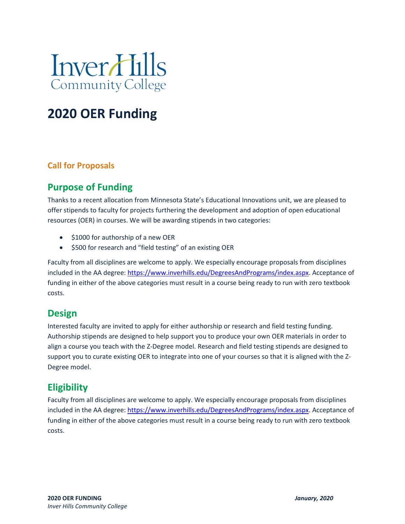

# **2020 OER Funding**

### **Call for Proposals**

## **Purpose of Funding**

Thanks to a recent allocation from Minnesota State's Educational Innovations unit, we are pleased to offer stipends to faculty for projects furthering the development and adoption of open educational resources (OER) in courses. We will be awarding stipends in two categories:

- \$1000 for authorship of a new OER
- \$500 for research and "field testing" of an existing OER

Faculty from all disciplines are welcome to apply. We especially encourage proposals from disciplines included in the AA degree: [https://www.inverhills.edu/DegreesAndPrograms/index.aspx.](https://www.inverhills.edu/DegreesAndPrograms/index.aspx) Acceptance of funding in either of the above categories must result in a course being ready to run with zero textbook costs.

## **Design**

Interested faculty are invited to apply for either authorship or research and field testing funding. Authorship stipends are designed to help support you to produce your own OER materials in order to align a course you teach with the Z-Degree model. Research and field testing stipends are designed to support you to curate existing OER to integrate into one of your courses so that it is aligned with the Z-Degree model.

## **Eligibility**

Faculty from all disciplines are welcome to apply. We especially encourage proposals from disciplines included in the AA degree: [https://www.inverhills.edu/DegreesAndPrograms/index.aspx.](https://www.inverhills.edu/DegreesAndPrograms/index.aspx) Acceptance of funding in either of the above categories must result in a course being ready to run with zero textbook costs.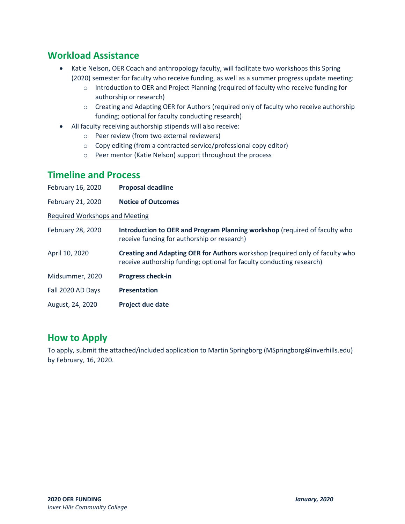## **Workload Assistance**

- Katie Nelson, OER Coach and anthropology faculty, will facilitate two workshops this Spring (2020) semester for faculty who receive funding, as well as a summer progress update meeting:
	- o Introduction to OER and Project Planning (required of faculty who receive funding for authorship or research)
	- o Creating and Adapting OER for Authors (required only of faculty who receive authorship funding; optional for faculty conducting research)
- All faculty receiving authorship stipends will also receive:
	- o Peer review (from two external reviewers)
	- o Copy editing (from a contracted service/professional copy editor)
	- o Peer mentor (Katie Nelson) support throughout the process

### **Timeline and Process**

| February 16, 2020                     | <b>Proposal deadline</b>                                                                                                                              |  |  |  |
|---------------------------------------|-------------------------------------------------------------------------------------------------------------------------------------------------------|--|--|--|
| February 21, 2020                     | <b>Notice of Outcomes</b>                                                                                                                             |  |  |  |
| <b>Required Workshops and Meeting</b> |                                                                                                                                                       |  |  |  |
| February 28, 2020                     | Introduction to OER and Program Planning workshop (required of faculty who<br>receive funding for authorship or research)                             |  |  |  |
| April 10, 2020                        | Creating and Adapting OER for Authors workshop (required only of faculty who<br>receive authorship funding; optional for faculty conducting research) |  |  |  |
| Midsummer, 2020                       | <b>Progress check-in</b>                                                                                                                              |  |  |  |
| Fall 2020 AD Days                     | <b>Presentation</b>                                                                                                                                   |  |  |  |
| August, 24, 2020                      | <b>Project due date</b>                                                                                                                               |  |  |  |

## **How to Apply**

To apply, submit the attached/included application to Martin Springborg [\(MSpringborg@inverhills.edu\)](mailto:MSpringborg@inverhills.edu) by February, 16, 2020.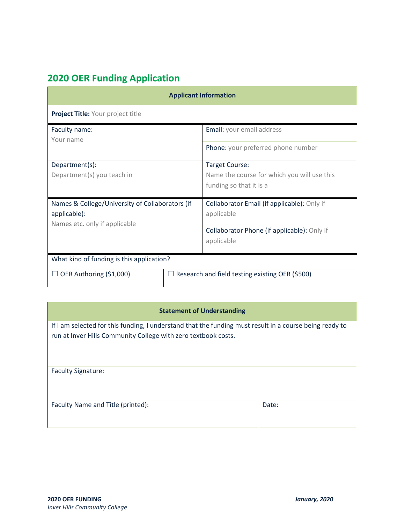## **2020 OER Funding Application**

| <b>Applicant Information</b>                                                                     |  |                                                                                                                        |  |  |  |  |
|--------------------------------------------------------------------------------------------------|--|------------------------------------------------------------------------------------------------------------------------|--|--|--|--|
| Project Title: Your project title                                                                |  |                                                                                                                        |  |  |  |  |
| Faculty name:<br>Your name                                                                       |  | Email: your email address<br>Phone: your preferred phone number                                                        |  |  |  |  |
| Department(s):<br>Department(s) you teach in                                                     |  | Target Course:<br>Name the course for which you will use this<br>funding so that it is a                               |  |  |  |  |
| Names & College/University of Collaborators (if<br>applicable):<br>Names etc. only if applicable |  | Collaborator Email (if applicable): Only if<br>applicable<br>Collaborator Phone (if applicable): Only if<br>applicable |  |  |  |  |
| What kind of funding is this application?                                                        |  |                                                                                                                        |  |  |  |  |
| OER Authoring (\$1,000)                                                                          |  | Research and field testing existing OER (\$500)                                                                        |  |  |  |  |

#### **Statement of Understanding**

If I am selected for this funding, I understand that the funding must result in a course being ready to run at Inver Hills Community College with zero textbook costs.

| <b>Faculty Signature:</b>         |       |
|-----------------------------------|-------|
|                                   |       |
| Faculty Name and Title (printed): | Date: |
|                                   |       |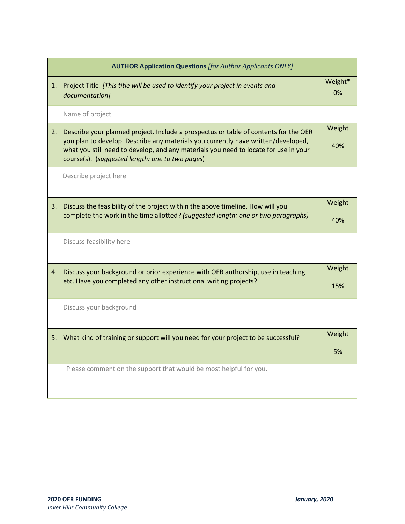|    | <b>AUTHOR Application Questions [for Author Applicants ONLY]</b>                                                                                                                                                                                                                                                     |               |  |  |  |
|----|----------------------------------------------------------------------------------------------------------------------------------------------------------------------------------------------------------------------------------------------------------------------------------------------------------------------|---------------|--|--|--|
| 1. | Project Title: [This title will be used to identify your project in events and<br>documentation]                                                                                                                                                                                                                     | Weight*<br>0% |  |  |  |
|    | Name of project                                                                                                                                                                                                                                                                                                      |               |  |  |  |
| 2. | Describe your planned project. Include a prospectus or table of contents for the OER<br>you plan to develop. Describe any materials you currently have written/developed,<br>what you still need to develop, and any materials you need to locate for use in your<br>course(s). (suggested length: one to two pages) | Weight<br>40% |  |  |  |
|    | Describe project here                                                                                                                                                                                                                                                                                                |               |  |  |  |
| 3. | Discuss the feasibility of the project within the above timeline. How will you<br>complete the work in the time allotted? (suggested length: one or two paragraphs)                                                                                                                                                  | Weight<br>40% |  |  |  |
|    | Discuss feasibility here                                                                                                                                                                                                                                                                                             |               |  |  |  |
| 4. | Discuss your background or prior experience with OER authorship, use in teaching<br>etc. Have you completed any other instructional writing projects?                                                                                                                                                                | Weight<br>15% |  |  |  |
|    | Discuss your background                                                                                                                                                                                                                                                                                              |               |  |  |  |
|    | 5. What kind of training or support will you need for your project to be successful?                                                                                                                                                                                                                                 | Weight<br>5%  |  |  |  |
|    | Please comment on the support that would be most helpful for you.                                                                                                                                                                                                                                                    |               |  |  |  |